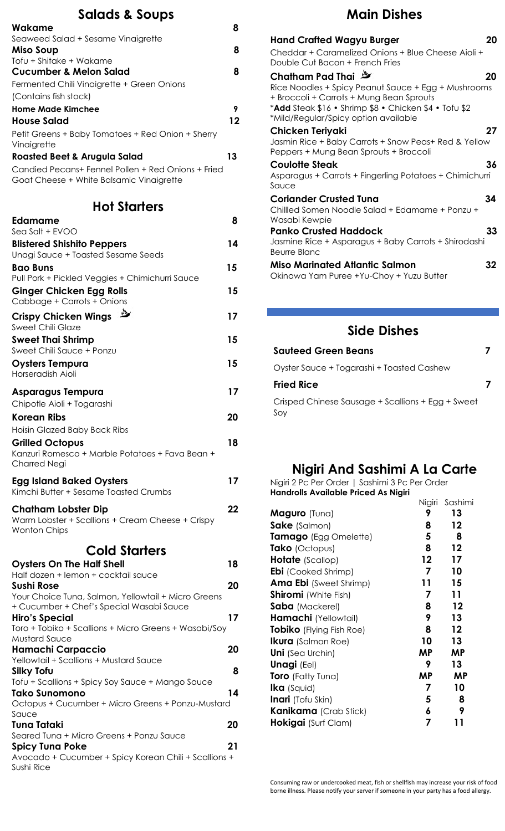#### **Salads & Soups**

| Wakame                                             | 8  |
|----------------------------------------------------|----|
| Seaweed Salad + Sesame Vinaigrette                 |    |
| Miso Soup                                          | 8  |
| Tofu + Shitake + Wakame                            |    |
| Cucumber & Melon Salad                             | 8  |
| Fermented Chili Vinaigrette + Green Onions         |    |
| (Contains fish stock)                              |    |
| Home Made Kimchee                                  | 9  |
| <b>House Salad</b>                                 | 12 |
| Petit Greens + Baby Tomatoes + Red Onion + Sherry  |    |
| Vinaigrette                                        |    |
| <b>Roasted Beet &amp; Arugula Salad</b>            | 13 |
| Candied Pecans+ Fennel Pollen + Red Onions + Fried |    |
| Goat Cheese + White Balsamic Vinaigrette           |    |

#### **Hot Starters**

| <b>Edamame</b>                                                                                  | 8  |
|-------------------------------------------------------------------------------------------------|----|
| Sea Salt + EVOO                                                                                 |    |
| <b>Blistered Shishito Peppers</b>                                                               | 14 |
| Unagi Sauce + Toasted Sesame Seeds                                                              |    |
| <b>Bao Buns</b><br>Pull Pork + Pickled Veggies + Chimichurri Sauce                              | 15 |
|                                                                                                 | 15 |
| <b>Ginger Chicken Egg Rolls</b><br>Cabbage + Carrots + Onions                                   |    |
| 些<br><b>Crispy Chicken Wings</b>                                                                | 17 |
| <b>Sweet Chili Glaze</b>                                                                        |    |
| <b>Sweet Thai Shrimp</b><br>Sweet Chili Sauce + Ponzu                                           | 15 |
|                                                                                                 |    |
| <b>Oysters Tempura</b><br>Horseradish Aioli                                                     | 15 |
|                                                                                                 |    |
| <b>Asparagus Tempura</b>                                                                        | 17 |
| Chipotle Aioli + Togarashi                                                                      |    |
| <b>Korean Ribs</b>                                                                              | 20 |
| Hoisin Glazed Baby Back Ribs                                                                    |    |
| <b>Grilled Octopus</b>                                                                          | 18 |
| Kanzuri Romesco + Marble Potatoes + Fava Bean +                                                 |    |
| <b>Charred Negi</b>                                                                             |    |
| <b>Egg Island Baked Oysters</b>                                                                 | 17 |
| Kimchi Butter + Sesame Toasted Crumbs                                                           |    |
|                                                                                                 | 22 |
| <b>Chatham Lobster Dip</b><br>Warm Lobster + Scallions + Cream Cheese + Crispy                  |    |
| <b>Wonton Chips</b>                                                                             |    |
|                                                                                                 |    |
| <b>Cold Starters</b>                                                                            |    |
| <b>Oysters On The Half Shell</b>                                                                | 18 |
| Half dozen + lemon + cocktail sauce                                                             |    |
| Sushi Rose                                                                                      | 20 |
| Your Choice Tuna, Salmon, Yellowtail + Micro Greens<br>+ Cucumber + Chef's Special Wasabi Sauce |    |
| Hiro's Special                                                                                  | 17 |
| Toro + Tobiko + Scallions + Micro Greens + Wasabi/Soy                                           |    |
| <b>Mustard Sauce</b>                                                                            |    |
| Hamachi Carpaccio                                                                               | 20 |
| Yellowtail + Scallions + Mustard Sauce                                                          |    |
| <b>Silky Tofu</b>                                                                               | 8  |
| Tofu + Scallions + Spicy Soy Sauce + Mango Sauce                                                |    |
| <b>Tako Sunomono</b>                                                                            | 14 |
| Octopus + Cucumber + Micro Greens + Ponzu-Mustard<br>Sauce                                      |    |
| Tuna Tataki                                                                                     | 20 |
| Seared Tuna + Micro Greens + Ponzu Sauce                                                        |    |
| <b>Spicy Tuna Poke</b>                                                                          | 21 |
| Avocado + Cucumber + Spicy Korean Chili + Scallions +                                           |    |
| Sushi Rice                                                                                      |    |

## **Main Dishes**

| <b>Hand Crafted Wagyu Burger</b><br>Cheddar + Caramelized Onions + Blue Cheese Aioli +<br>Double Cut Bacon + French Fries                                | 20 |
|----------------------------------------------------------------------------------------------------------------------------------------------------------|----|
| Chatham Pad Thai                                                                                                                                         | 20 |
| Rice Noodles + Spicy Peanut Sauce + Egg + Mushrooms<br>+ Broccoli + Carrots + Mung Bean Sprouts<br>*Add Steak \$16 • Shrimp \$8 • Chicken \$4 • Tofu \$2 |    |
| *Mild/Regular/Spicy option available                                                                                                                     |    |
| Chicken Teriyaki                                                                                                                                         | 27 |
| Jasmin Rice + Baby Carrots + Snow Peas+ Red & Yellow<br>Peppers + Mung Bean Sprouts + Broccoli                                                           |    |
| Coulotte Steak                                                                                                                                           | 36 |
| Asparagus + Carrots + Fingerling Potatoes + Chimichurri<br>Sauce                                                                                         |    |
| <b>Coriander Crusted Tuna</b>                                                                                                                            | 34 |
| Chilled Somen Noodle Salad + Edamame + Ponzu +<br>Wasabi Kewpie                                                                                          |    |
| <b>Panko Crusted Haddock</b>                                                                                                                             | 33 |
| Jasmine Rice + Asparagus + Baby Carrots + Shirodashi<br><b>Beurre Blanc</b>                                                                              |    |
| <b>Miso Marinated Atlantic Salmon</b>                                                                                                                    | 32 |
| Okinawa Yam Puree +Yu-Choy + Yuzu Butter                                                                                                                 |    |
|                                                                                                                                                          |    |

### **Side Dishes**

| <b>Sauteed Green Beans</b>                               |  |
|----------------------------------------------------------|--|
| Oyster Sauce + Togarashi + Toasted Cashew                |  |
| <b>Fried Rice</b>                                        |  |
| Crisped Chinese Sausage + Scallions + Egg + Sweet<br>Soy |  |

#### **Nigiri And Sashimi A La Carte**

Nigiri 2 Pc Per Order | Sashimi 3 Pc Per Order **Handrolls Available Priced As Nigiri**  Nigiri Sashimi

|                                 | Nigiri | sasnimi   |
|---------------------------------|--------|-----------|
| Maguro (Tuna)                   | 9      | 13        |
| <b>Sake</b> (Salmon)            | 8      | 12        |
| Tamago (Egg Omelette)           | 5      | 8         |
| Tako (Octopus)                  | 8      | 12        |
| <b>Hotate</b> (Scallop)         | 12     | 17        |
| <b>Ebi</b> (Cooked Shrimp)      | 7      | 10        |
| <b>Ama Ebi</b> (Sweet Shrimp)   | 11     | 15        |
| <b>Shiromi</b> (White Fish)     | 7      | 11        |
| <b>Saba</b> (Mackerel)          | 8      | $12 \,$   |
| Hamachi (Yellowtail)            | 9      | 13        |
| <b>Tobiko</b> (Flying Fish Roe) | 8      | $12 \,$   |
| <b>Ikura</b> (Salmon Roe)       | 10     | 13        |
| <b>Uni</b> (Sea Urchin)         | ΜP     | <b>MP</b> |
| <b>Unagi (Eel)</b>              | 9      | 13        |
| <b>Toro</b> (Fatty Tuna)        | ΜP     | ΜP        |
| <b>Ika</b> (Squid)              | 7      | 10        |
| <b>Inari</b> (Tofu Skin)        | 5      | 8         |
| <b>Kanikama</b> (Crab Stick)    | 6      | 9         |
| <b>Hokigai</b> (Surf Clam)      | 7      | 11        |